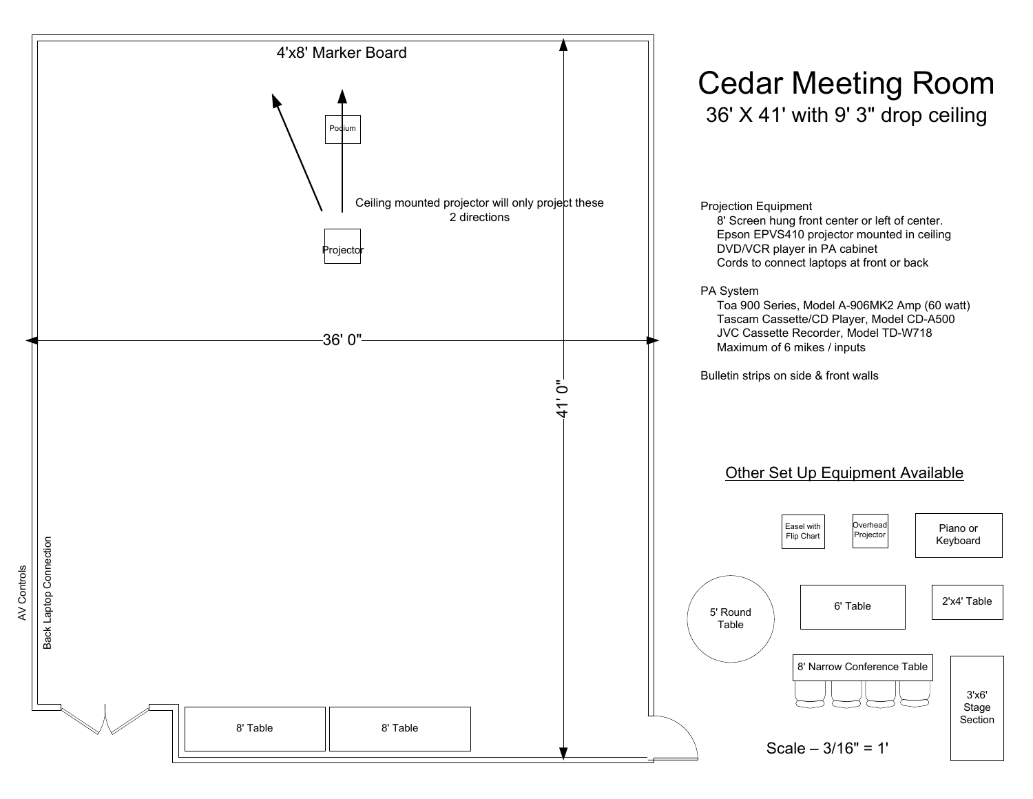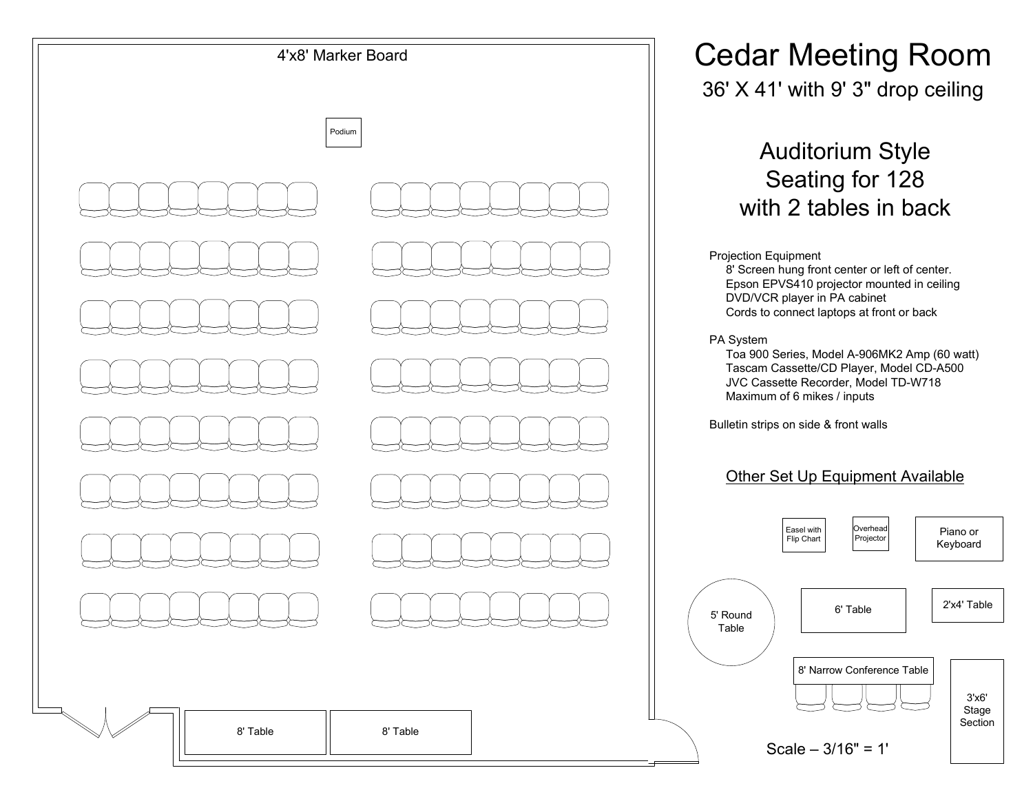

36' X 41' with 9' 3" drop ceiling

Auditorium Style Seating for 128with 2 tables in back

#### Projection Equipment

 8' Screen hung front center or left of center. Epson EPVS410 projector mounted in ceilingDVD/VCR player in PA cabinetCords to connect laptops at front or back

#### PA System

 Toa 900 Series, Model A-906MK2 Amp (60 watt)Tascam Cassette/CD Player, Model CD-A500JVC Cassette Recorder, Model TD-W718Maximum of 6 mikes / inputs

Bulletin strips on side & front walls

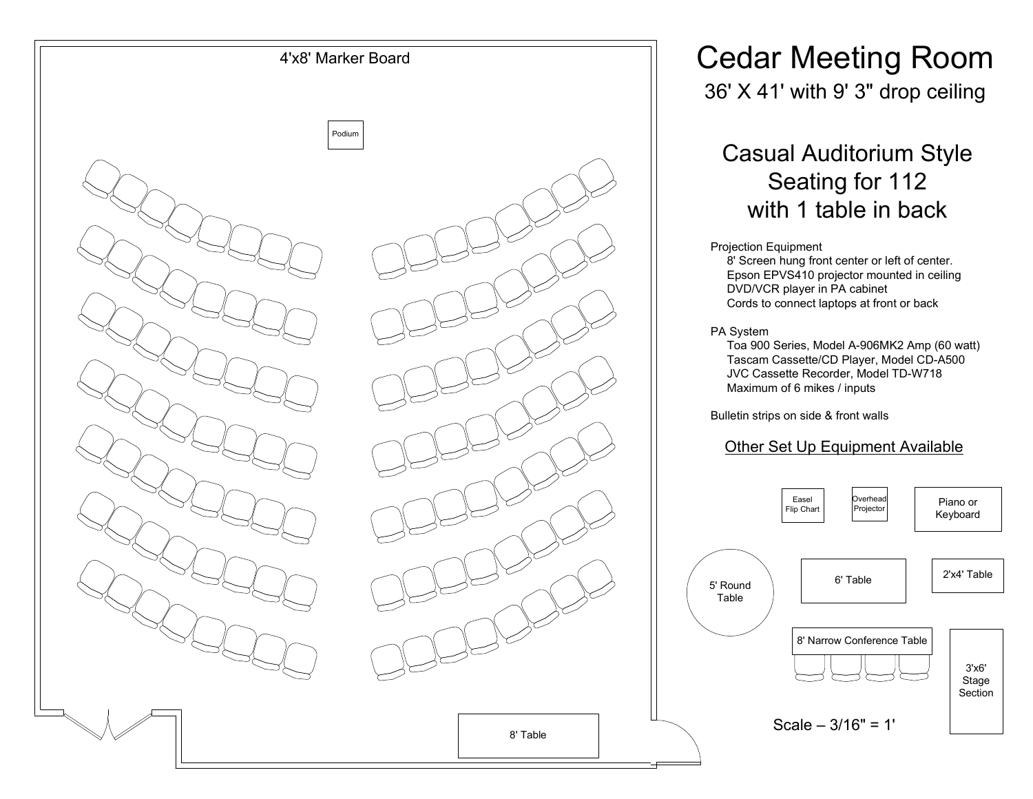

36' X 41' with 9' 3" drop ceiling

## Casual Auditorium StyleSeating for 112with 1 table in back

#### Projection Equipment

 8' Screen hung front center or left of center. Epson EPVS410 projector mounted in ceilingDVD/VCR player in PA cabinetCords to connect laptops at front or back

PA System

 Toa 900 Series, Model A-906MK2 Amp (60 watt)Tascam Cassette/CD Player, Model CD-A500JVC Cassette Recorder, Model TD-W718Maximum of 6 mikes / inputs

Bulletin strips on side & front walls

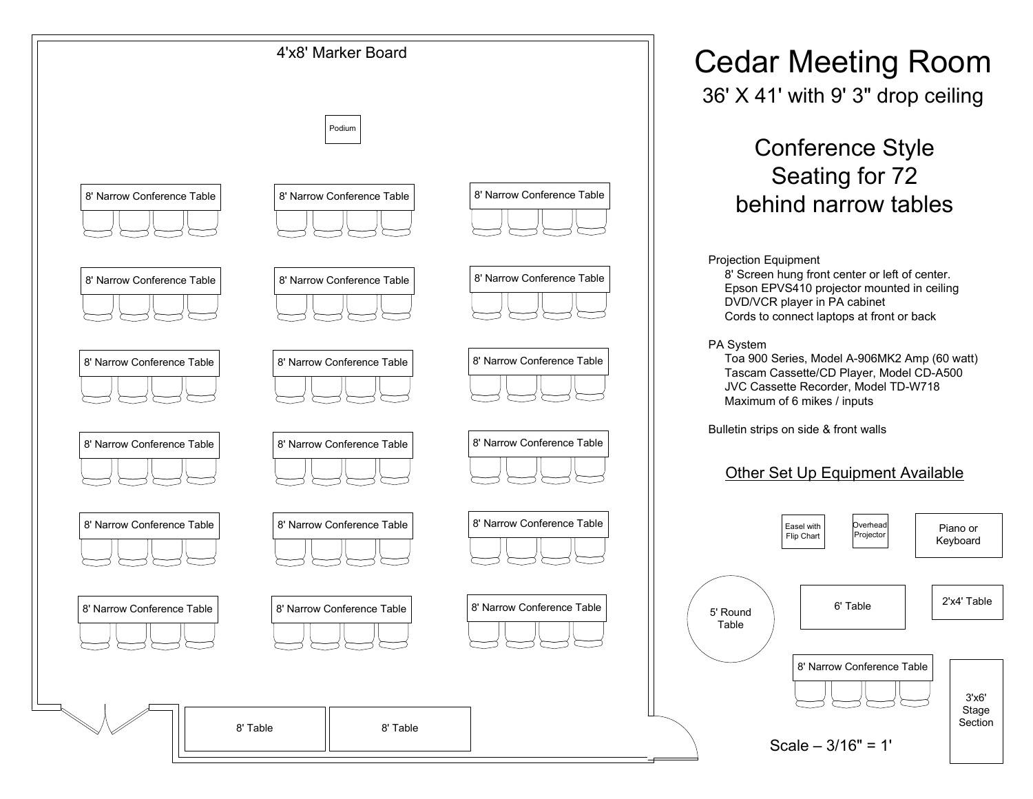

36' X 41' with 9' 3" drop ceiling

## Conference StyleSeating for 72behind narrow tables

Projection Equipment

 8' Screen hung front center or left of center. Epson EPVS410 projector mounted in ceilingDVD/VCR player in PA cabinetCords to connect laptops at front or back

 Toa 900 Series, Model A-906MK2 Amp (60 watt)Tascam Cassette/CD Player, Model CD-A500JVC Cassette Recorder, Model TD-W718Maximum of 6 mikes / inputs

Bulletin strips on side & front walls

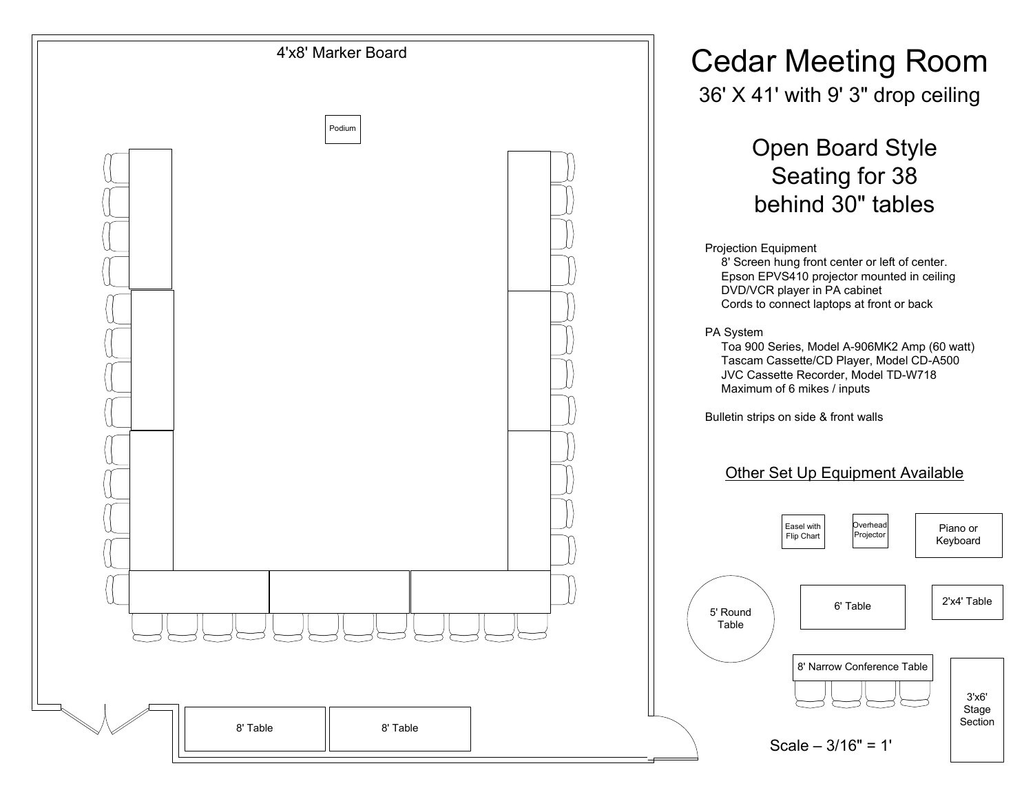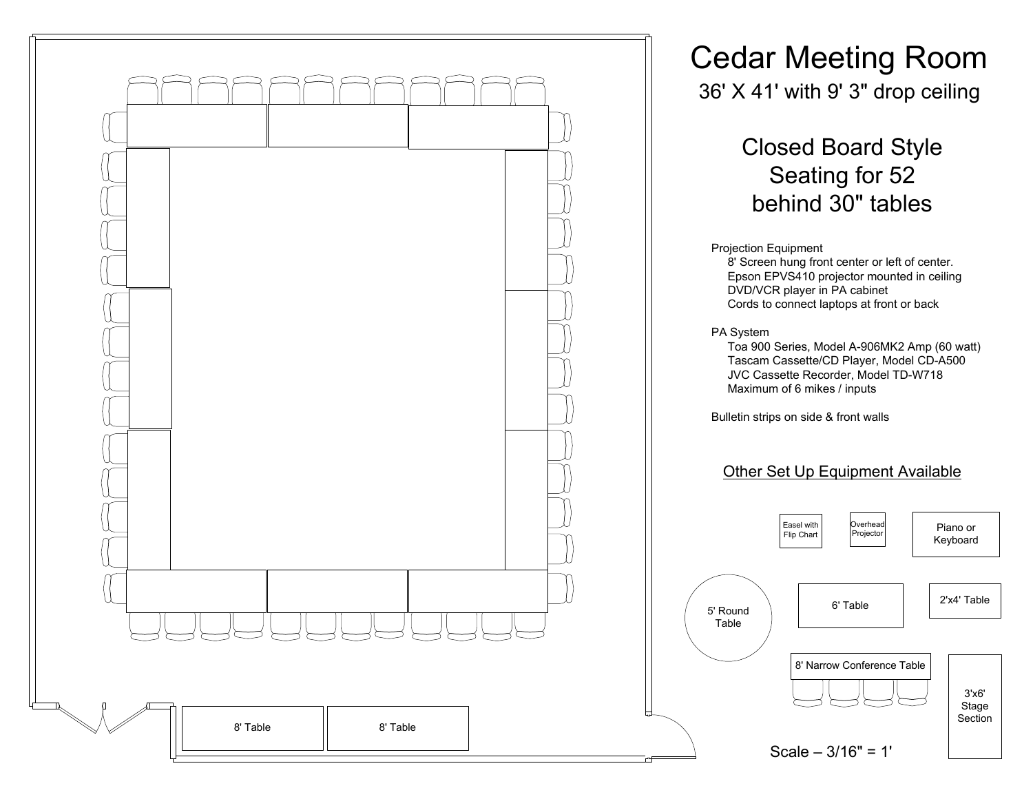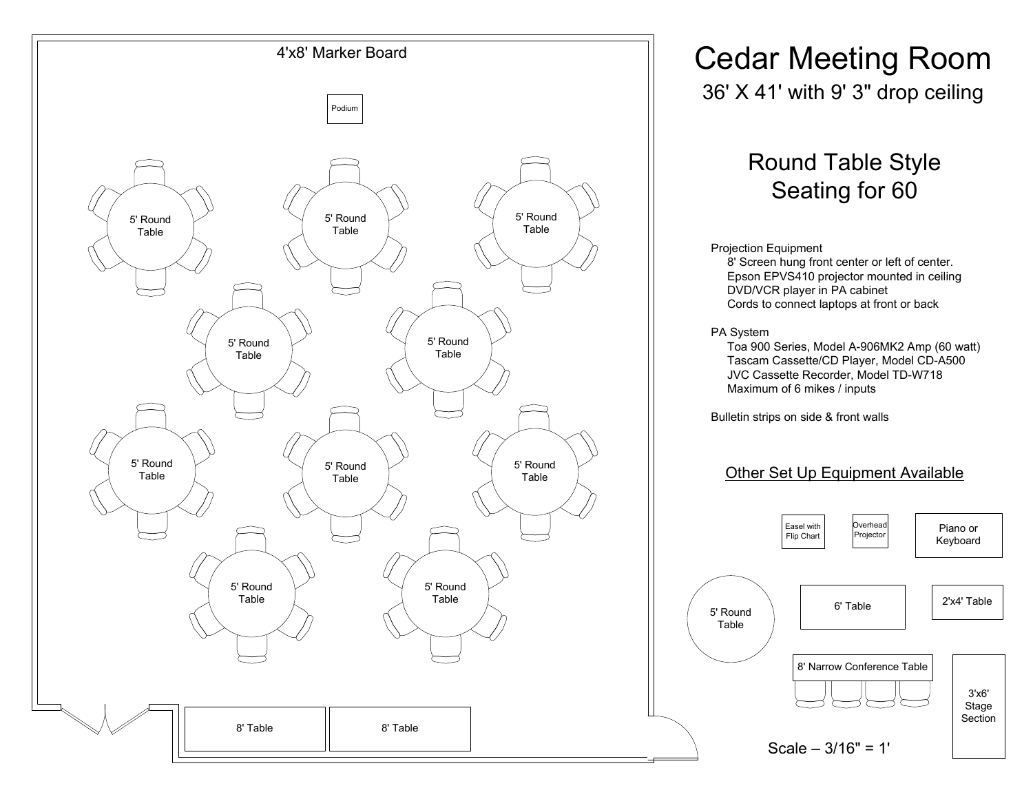

36' X 41' with 9' 3" drop ceiling

## Round Table StyleSeating for 60

#### Projection Equipment

 8' Screen hung front center or left of center. Epson EPVS410 projector mounted in ceilingDVD/VCR player in PA cabinetCords to connect laptops at front or back

 Toa 900 Series, Model A-906MK2 Amp (60 watt)Tascam Cassette/CD Player, Model CD-A500JVC Cassette Recorder, Model TD-W718Maximum of 6 mikes / inputs

Bulletin strips on side & front walls

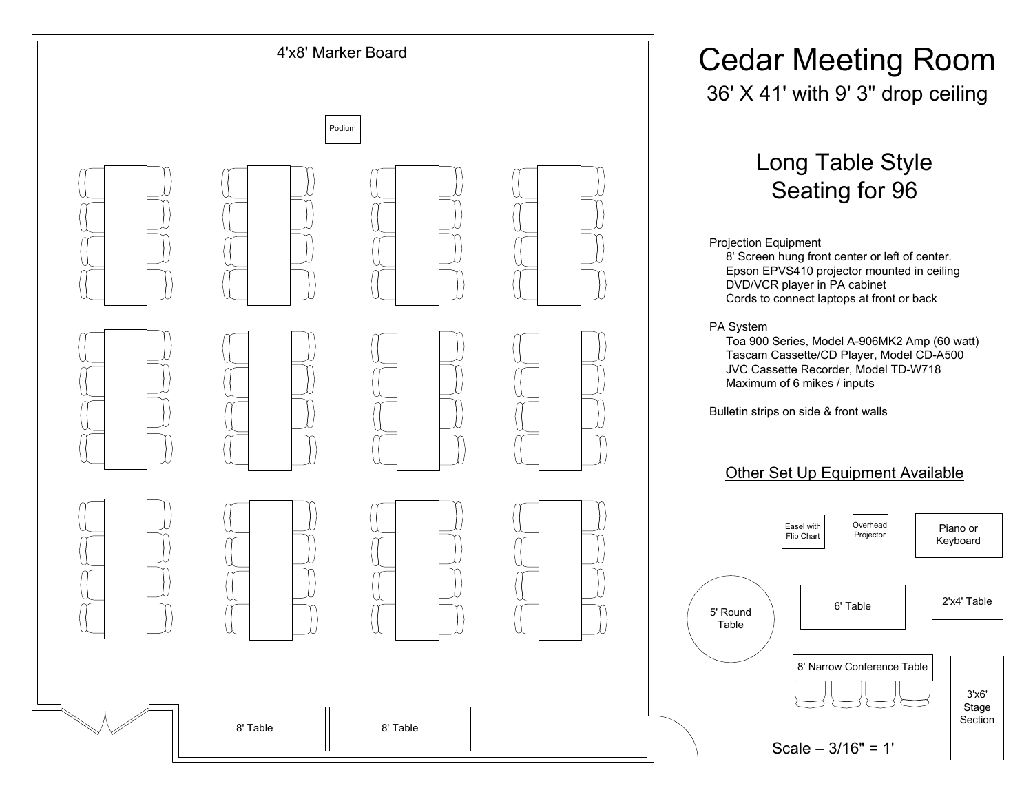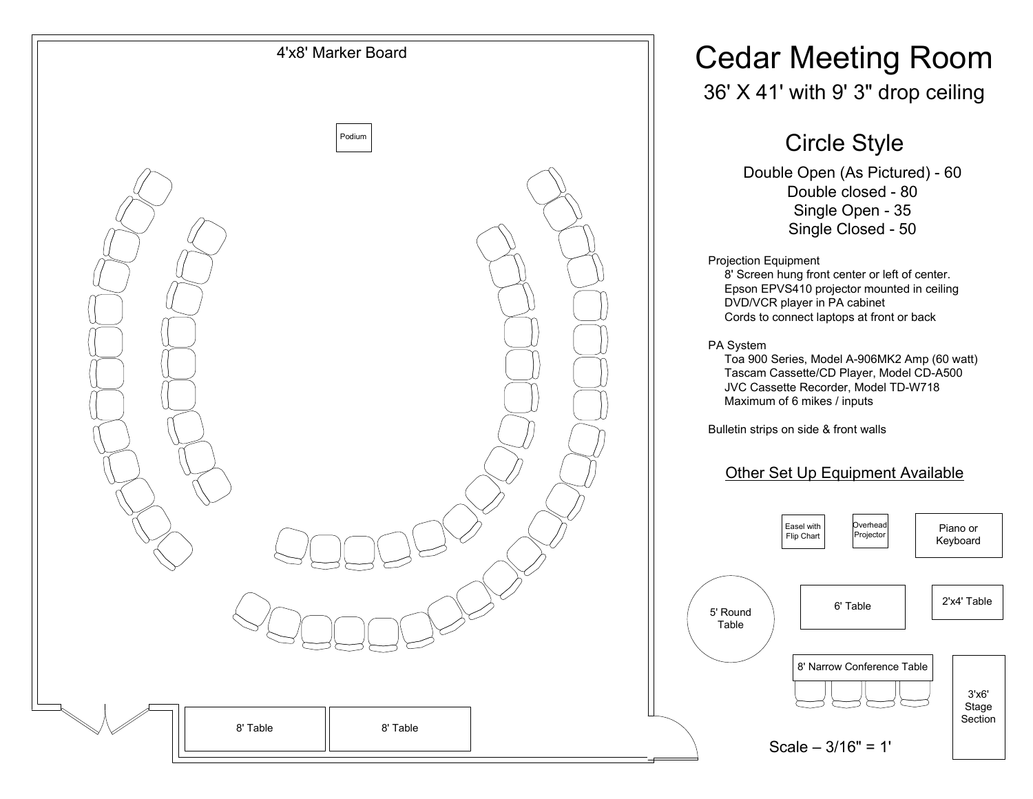

## 36' X 41' with 9' 3" drop ceiling

## Circle Style

 Double Open (As Pictured) - <sup>60</sup> Double closed - <sup>80</sup> Single Open - <sup>35</sup> Single Closed - <sup>50</sup>

Projection Equipment

 8' Screen hung front center or left of center. Epson EPVS410 projector mounted in ceilingDVD/VCR player in PA cabinetCords to connect laptops at front or back

PA System

 Toa 900 Series, Model A-906MK2 Amp (60 watt)Tascam Cassette/CD Player, Model CD-A500JVC Cassette Recorder, Model TD-W718Maximum of 6 mikes / inputs

Bulletin strips on side & front walls